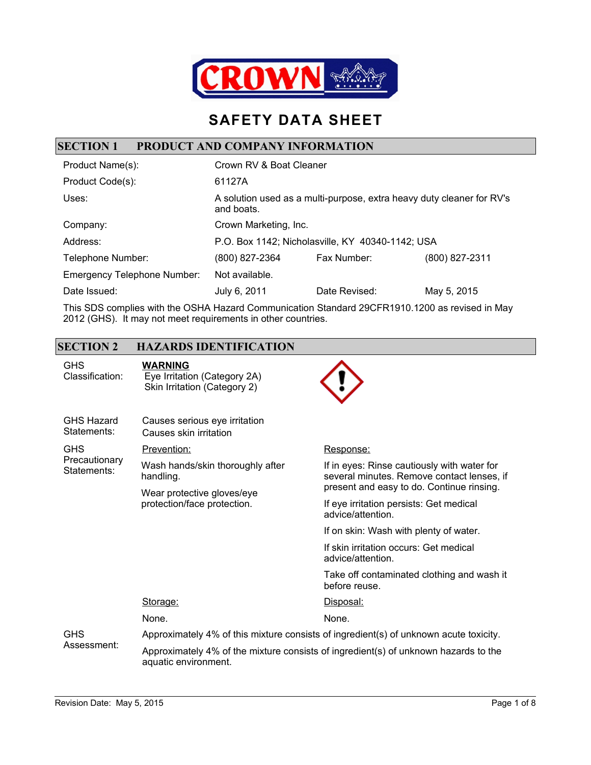

## **SAFETY DATA SHEET**

#### **SECTION 1 PRODUCT AND COMPANY INFORMATION**

| Product Name(s):                   | Crown RV & Boat Cleaner                                                             |               |                |
|------------------------------------|-------------------------------------------------------------------------------------|---------------|----------------|
| Product Code(s):                   | 61127A                                                                              |               |                |
| Uses:                              | A solution used as a multi-purpose, extra heavy duty cleaner for RV's<br>and boats. |               |                |
| Company:                           | Crown Marketing, Inc.                                                               |               |                |
| Address:                           | P.O. Box 1142; Nicholasville, KY 40340-1142; USA                                    |               |                |
| Telephone Number:                  | (800) 827-2364                                                                      | Fax Number:   | (800) 827-2311 |
| <b>Emergency Telephone Number:</b> | Not available.                                                                      |               |                |
| Date Issued:                       | July 6, 2011                                                                        | Date Revised: | May 5, 2015    |

This SDS complies with the OSHA Hazard Communication Standard 29CFR1910.1200 as revised in May 2012 (GHS). It may not meet requirements in other countries.

### **SECTION 2 HAZARDS IDENTIFICATION**

| <b>GHS</b><br>Classification:    | <b>WARNING</b><br>Eye Irritation (Category 2A)<br>Skin Irritation (Category 2)                              |                                                                                           |  |
|----------------------------------|-------------------------------------------------------------------------------------------------------------|-------------------------------------------------------------------------------------------|--|
| <b>GHS Hazard</b><br>Statements: | Causes serious eye irritation<br>Causes skin irritation                                                     |                                                                                           |  |
| <b>GHS</b>                       | Prevention:                                                                                                 | Response:                                                                                 |  |
| Precautionary<br>Statements:     | Wash hands/skin thoroughly after<br>handling.                                                               | If in eyes: Rinse cautiously with water for<br>several minutes. Remove contact lenses, if |  |
|                                  | Wear protective gloves/eye<br>protection/face protection.                                                   | present and easy to do. Continue rinsing.                                                 |  |
|                                  |                                                                                                             | If eye irritation persists: Get medical<br>advice/attention.                              |  |
|                                  |                                                                                                             | If on skin: Wash with plenty of water.                                                    |  |
|                                  |                                                                                                             | If skin irritation occurs: Get medical<br>advice/attention.                               |  |
|                                  |                                                                                                             | Take off contaminated clothing and wash it<br>before reuse.                               |  |
|                                  | Storage:                                                                                                    | Disposal:                                                                                 |  |
|                                  | None.                                                                                                       | None.                                                                                     |  |
| <b>GHS</b><br>Assessment:        | Approximately 4% of this mixture consists of ingredient(s) of unknown acute toxicity.                       |                                                                                           |  |
|                                  | Approximately 4% of the mixture consists of ingredient(s) of unknown hazards to the<br>aquatic environment. |                                                                                           |  |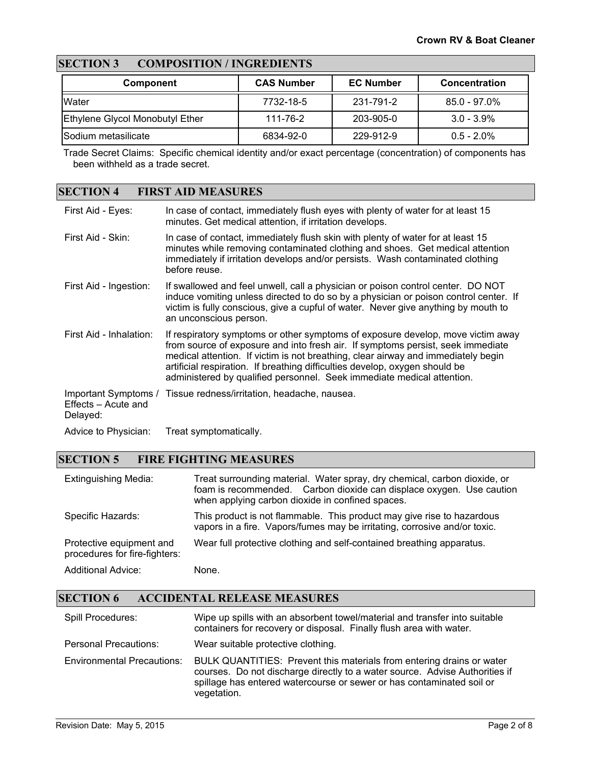### **SECTION 3 COMPOSITION / INGREDIENTS**

| <b>Component</b>                       | <b>CAS Number</b> | <b>EC Number</b> | <b>Concentration</b> |
|----------------------------------------|-------------------|------------------|----------------------|
| <b>IWater</b>                          | 7732-18-5         | 231-791-2        | $85.0 - 97.0\%$      |
| <b>Ethylene Glycol Monobutyl Ether</b> | 111-76-2          | 203-905-0        | $3.0 - 3.9\%$        |
| Sodium metasilicate                    | 6834-92-0         | 229-912-9        | $0.5 - 2.0\%$        |

Trade Secret Claims: Specific chemical identity and/or exact percentage (concentration) of components has been withheld as a trade secret.

#### **SECTION 4 FIRST AID MEASURES**

| First Aid - Eyes:               | In case of contact, immediately flush eyes with plenty of water for at least 15<br>minutes. Get medical attention, if irritation develops.                                                                                                                                                                                                                                                                       |
|---------------------------------|------------------------------------------------------------------------------------------------------------------------------------------------------------------------------------------------------------------------------------------------------------------------------------------------------------------------------------------------------------------------------------------------------------------|
| First Aid - Skin:               | In case of contact, immediately flush skin with plenty of water for at least 15<br>minutes while removing contaminated clothing and shoes. Get medical attention<br>immediately if irritation develops and/or persists. Wash contaminated clothing<br>before reuse.                                                                                                                                              |
| First Aid - Ingestion:          | If swallowed and feel unwell, call a physician or poison control center. DO NOT<br>induce vomiting unless directed to do so by a physician or poison control center. If<br>victim is fully conscious, give a cupful of water. Never give anything by mouth to<br>an unconscious person.                                                                                                                          |
| First Aid - Inhalation:         | If respiratory symptoms or other symptoms of exposure develop, move victim away<br>from source of exposure and into fresh air. If symptoms persist, seek immediate<br>medical attention. If victim is not breathing, clear airway and immediately begin<br>artificial respiration. If breathing difficulties develop, oxygen should be<br>administered by qualified personnel. Seek immediate medical attention. |
| Effects - Acute and<br>Delayed: | Important Symptoms / Tissue redness/irritation, headache, nausea.                                                                                                                                                                                                                                                                                                                                                |
| Advice to Physician:            | Treat symptomatically.                                                                                                                                                                                                                                                                                                                                                                                           |

#### **SECTION 5 FIRE FIGHTING MEASURES**

| <b>Extinguishing Media:</b>                               | Treat surrounding material. Water spray, dry chemical, carbon dioxide, or<br>foam is recommended. Carbon dioxide can displace oxygen. Use caution<br>when applying carbon dioxide in confined spaces. |
|-----------------------------------------------------------|-------------------------------------------------------------------------------------------------------------------------------------------------------------------------------------------------------|
| Specific Hazards:                                         | This product is not flammable. This product may give rise to hazardous<br>vapors in a fire. Vapors/fumes may be irritating, corrosive and/or toxic.                                                   |
| Protective equipment and<br>procedures for fire-fighters: | Wear full protective clothing and self-contained breathing apparatus.                                                                                                                                 |
| <b>Additional Advice:</b>                                 | None.                                                                                                                                                                                                 |

### **SECTION 6 ACCIDENTAL RELEASE MEASURES**

| <b>Spill Procedures:</b>          | Wipe up spills with an absorbent towel/material and transfer into suitable<br>containers for recovery or disposal. Finally flush area with water.                                                                                            |
|-----------------------------------|----------------------------------------------------------------------------------------------------------------------------------------------------------------------------------------------------------------------------------------------|
| Personal Precautions:             | Wear suitable protective clothing.                                                                                                                                                                                                           |
| <b>Environmental Precautions:</b> | BULK QUANTITIES: Prevent this materials from entering drains or water<br>courses. Do not discharge directly to a water source. Advise Authorities if<br>spillage has entered watercourse or sewer or has contaminated soil or<br>vegetation. |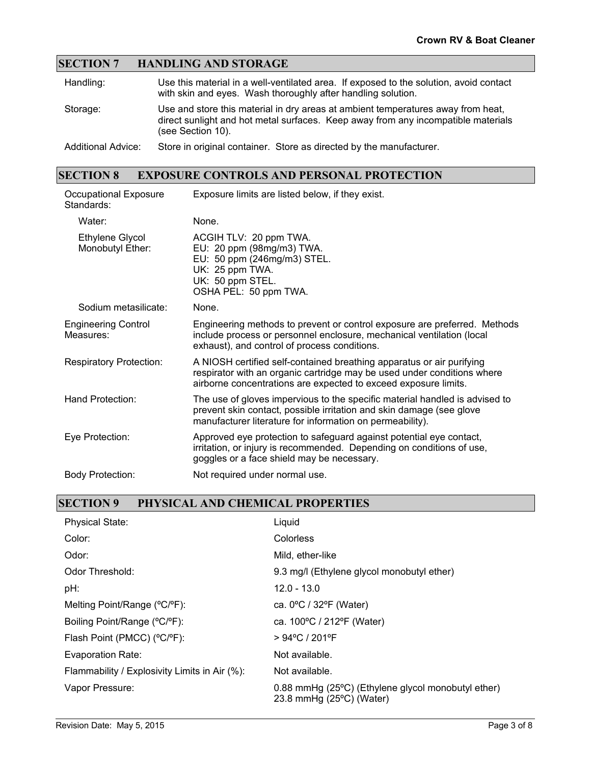### **SECTION 7 HANDLING AND STORAGE**

| Handling:                 | Use this material in a well-ventilated area. If exposed to the solution, avoid contact<br>with skin and eyes. Wash thoroughly after handling solution.                                     |
|---------------------------|--------------------------------------------------------------------------------------------------------------------------------------------------------------------------------------------|
| Storage:                  | Use and store this material in dry areas at ambient temperatures away from heat,<br>direct sunlight and hot metal surfaces. Keep away from any incompatible materials<br>(see Section 10). |
| <b>Additional Advice:</b> | Store in original container. Store as directed by the manufacturer.                                                                                                                        |

### **SECTION 8 EXPOSURE CONTROLS AND PERSONAL PROTECTION**

| Occupational Exposure<br>Standards:     | Exposure limits are listed below, if they exist.                                                                                                                                                                    |
|-----------------------------------------|---------------------------------------------------------------------------------------------------------------------------------------------------------------------------------------------------------------------|
| Water:                                  | None.                                                                                                                                                                                                               |
| Ethylene Glycol<br>Monobutyl Ether:     | ACGIH TLV: 20 ppm TWA.<br>EU: 20 ppm (98mg/m3) TWA.<br>EU: 50 ppm (246mg/m3) STEL.<br>UK: 25 ppm TWA.<br>UK: 50 ppm STEL.<br>OSHA PEL: 50 ppm TWA.                                                                  |
| Sodium metasilicate:                    | None.                                                                                                                                                                                                               |
| <b>Engineering Control</b><br>Measures: | Engineering methods to prevent or control exposure are preferred. Methods<br>include process or personnel enclosure, mechanical ventilation (local<br>exhaust), and control of process conditions.                  |
| <b>Respiratory Protection:</b>          | A NIOSH certified self-contained breathing apparatus or air purifying<br>respirator with an organic cartridge may be used under conditions where<br>airborne concentrations are expected to exceed exposure limits. |
| Hand Protection:                        | The use of gloves impervious to the specific material handled is advised to<br>prevent skin contact, possible irritation and skin damage (see glove<br>manufacturer literature for information on permeability).    |
| Eye Protection:                         | Approved eye protection to safeguard against potential eye contact,<br>irritation, or injury is recommended. Depending on conditions of use,<br>goggles or a face shield may be necessary.                          |
| <b>Body Protection:</b>                 | Not required under normal use.                                                                                                                                                                                      |

#### **SECTION 9 PHYSICAL AND CHEMICAL PROPERTIES**

| <b>Physical State:</b>                        | Liquid                                                                                  |
|-----------------------------------------------|-----------------------------------------------------------------------------------------|
| Color:                                        | Colorless                                                                               |
| Odor:                                         | Mild, ether-like                                                                        |
| Odor Threshold:                               | 9.3 mg/l (Ethylene glycol monobutyl ether)                                              |
| pH:                                           | $12.0 - 13.0$                                                                           |
| Melting Point/Range (°C/°F):                  | ca. $0^{\circ}$ C / 32 $^{\circ}$ F (Water)                                             |
| Boiling Point/Range (°C/°F):                  | ca. 100°C / 212°F (Water)                                                               |
| Flash Point (PMCC) (°C/°F):                   | > 94°C / 201°F                                                                          |
| Evaporation Rate:                             | Not available.                                                                          |
| Flammability / Explosivity Limits in Air (%): | Not available.                                                                          |
| Vapor Pressure:                               | 0.88 mmHg (25°C) (Ethylene glycol monobutyl ether)<br>23.8 mmHg $(25^{\circ}C)$ (Water) |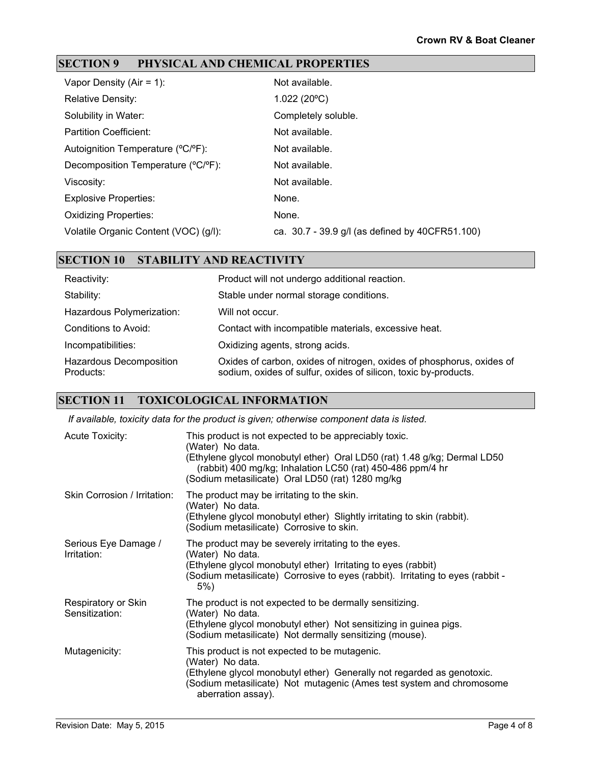### **SECTION 9 PHYSICAL AND CHEMICAL PROPERTIES**

| Vapor Density (Air = $1$ ):           | Not available.                                  |
|---------------------------------------|-------------------------------------------------|
| <b>Relative Density:</b>              | 1.022(20°C)                                     |
| Solubility in Water:                  | Completely soluble.                             |
| <b>Partition Coefficient:</b>         | Not available.                                  |
| Autoignition Temperature (°C/°F):     | Not available.                                  |
| Decomposition Temperature (°C/°F):    | Not available.                                  |
| Viscosity:                            | Not available.                                  |
| <b>Explosive Properties:</b>          | None.                                           |
| <b>Oxidizing Properties:</b>          | None.                                           |
| Volatile Organic Content (VOC) (g/l): | ca. 30.7 - 39.9 g/l (as defined by 40CFR51.100) |

#### **SECTION 10 STABILITY AND REACTIVITY**

| Reactivity:                          | Product will not undergo additional reaction.                                                                                            |
|--------------------------------------|------------------------------------------------------------------------------------------------------------------------------------------|
| Stability:                           | Stable under normal storage conditions.                                                                                                  |
| Hazardous Polymerization:            | Will not occur.                                                                                                                          |
| Conditions to Avoid:                 | Contact with incompatible materials, excessive heat.                                                                                     |
| Incompatibilities:                   | Oxidizing agents, strong acids.                                                                                                          |
| Hazardous Decomposition<br>Products: | Oxides of carbon, oxides of nitrogen, oxides of phosphorus, oxides of<br>sodium, oxides of sulfur, oxides of silicon, toxic by-products. |

#### **SECTION 11 TOXICOLOGICAL INFORMATION**

*If available, toxicity data for the product is given; otherwise component data is listed.*

| <b>Acute Toxicity:</b>                | This product is not expected to be appreciably toxic.<br>(Water) No data.<br>(Ethylene glycol monobutyl ether) Oral LD50 (rat) 1.48 g/kg; Dermal LD50<br>(rabbit) 400 mg/kg; Inhalation LC50 (rat) 450-486 ppm/4 hr<br>(Sodium metasilicate) Oral LD50 (rat) 1280 mg/kg |
|---------------------------------------|-------------------------------------------------------------------------------------------------------------------------------------------------------------------------------------------------------------------------------------------------------------------------|
| Skin Corrosion / Irritation:          | The product may be irritating to the skin.<br>(Water) No data.<br>(Ethylene glycol monobutyl ether) Slightly irritating to skin (rabbit).<br>(Sodium metasilicate) Corrosive to skin.                                                                                   |
| Serious Eye Damage /<br>Irritation:   | The product may be severely irritating to the eyes.<br>(Water) No data.<br>(Ethylene glycol monobutyl ether) Irritating to eyes (rabbit)<br>(Sodium metasilicate) Corrosive to eyes (rabbit). Irritating to eyes (rabbit -<br>$5\%)$                                    |
| Respiratory or Skin<br>Sensitization: | The product is not expected to be dermally sensitizing.<br>(Water) No data.<br>(Ethylene glycol monobutyl ether) Not sensitizing in guinea pigs.<br>(Sodium metasilicate) Not dermally sensitizing (mouse).                                                             |
| Mutagenicity:                         | This product is not expected to be mutagenic.<br>(Water) No data.<br>(Ethylene glycol monobutyl ether) Generally not regarded as genotoxic.<br>(Sodium metasilicate) Not mutagenic (Ames test system and chromosome<br>aberration assay).                               |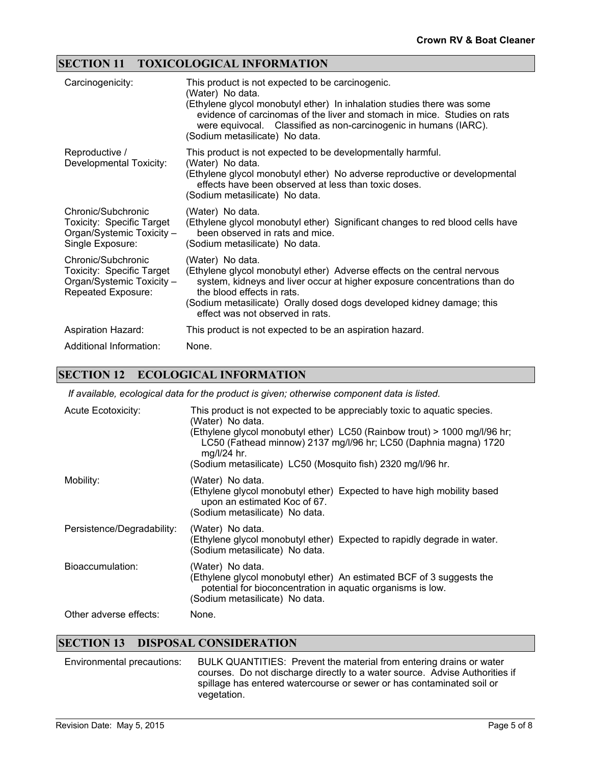#### **SECTION 11 TOXICOLOGICAL INFORMATION**

| Carcinogenicity:                                                                                   | This product is not expected to be carcinogenic.<br>(Water) No data.<br>(Ethylene glycol monobutyl ether) In inhalation studies there was some<br>evidence of carcinomas of the liver and stomach in mice. Studies on rats<br>were equivocal. Classified as non-carcinogenic in humans (IARC).<br>(Sodium metasilicate) No data. |
|----------------------------------------------------------------------------------------------------|----------------------------------------------------------------------------------------------------------------------------------------------------------------------------------------------------------------------------------------------------------------------------------------------------------------------------------|
| Reproductive /<br>Developmental Toxicity:                                                          | This product is not expected to be developmentally harmful.<br>(Water) No data.<br>(Ethylene glycol monobutyl ether) No adverse reproductive or developmental<br>effects have been observed at less than toxic doses.<br>(Sodium metasilicate) No data.                                                                          |
| Chronic/Subchronic<br>Toxicity: Specific Target<br>Organ/Systemic Toxicity -<br>Single Exposure:   | (Water) No data.<br>(Ethylene glycol monobutyl ether) Significant changes to red blood cells have<br>been observed in rats and mice.<br>(Sodium metasilicate) No data.                                                                                                                                                           |
| Chronic/Subchronic<br>Toxicity: Specific Target<br>Organ/Systemic Toxicity -<br>Repeated Exposure: | (Water) No data.<br>(Ethylene glycol monobutyl ether) Adverse effects on the central nervous<br>system, kidneys and liver occur at higher exposure concentrations than do<br>the blood effects in rats.<br>(Sodium metasilicate) Orally dosed dogs developed kidney damage; this<br>effect was not observed in rats.             |
| <b>Aspiration Hazard:</b>                                                                          | This product is not expected to be an aspiration hazard.                                                                                                                                                                                                                                                                         |
| Additional Information:                                                                            | None.                                                                                                                                                                                                                                                                                                                            |

#### **SECTION 12 ECOLOGICAL INFORMATION**

*If available, ecological data for the product is given; otherwise component data is listed.*

| <b>Acute Ecotoxicity:</b>  | This product is not expected to be appreciably toxic to aquatic species.<br>(Water) No data.<br>(Ethylene glycol monobutyl ether) LC50 (Rainbow trout) > 1000 mg/l/96 hr;<br>LC50 (Fathead minnow) 2137 mg/l/96 hr; LC50 (Daphnia magna) 1720<br>$mq/l/24$ hr.<br>(Sodium metasilicate) LC50 (Mosquito fish) 2320 mg/l/96 hr. |
|----------------------------|-------------------------------------------------------------------------------------------------------------------------------------------------------------------------------------------------------------------------------------------------------------------------------------------------------------------------------|
| Mobility:                  | (Water) No data.<br>(Ethylene glycol monobutyl ether) Expected to have high mobility based<br>upon an estimated Koc of 67.<br>(Sodium metasilicate) No data.                                                                                                                                                                  |
| Persistence/Degradability: | (Water) No data.<br>(Ethylene glycol monobutyl ether) Expected to rapidly degrade in water.<br>(Sodium metasilicate) No data.                                                                                                                                                                                                 |
| Bioaccumulation:           | (Water) No data.<br>(Ethylene glycol monobutyl ether) An estimated BCF of 3 suggests the<br>potential for bioconcentration in aquatic organisms is low.<br>(Sodium metasilicate) No data.                                                                                                                                     |
| Other adverse effects:     | None.                                                                                                                                                                                                                                                                                                                         |

#### **SECTION 13 DISPOSAL CONSIDERATION**

Environmental precautions: BULK QUANTITIES: Prevent the material from entering drains or water courses. Do not discharge directly to a water source. Advise Authorities if spillage has entered watercourse or sewer or has contaminated soil or vegetation.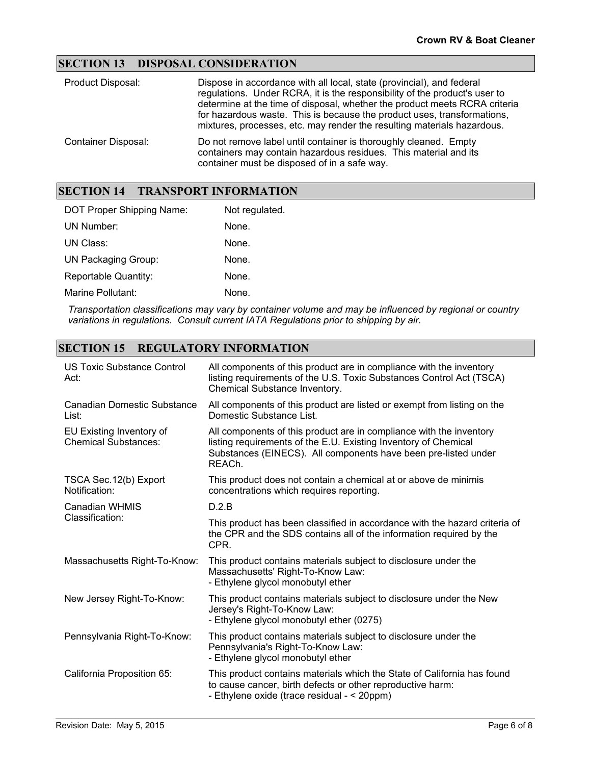#### **SECTION 13 DISPOSAL CONSIDERATION**

| Product Disposal:          | Dispose in accordance with all local, state (provincial), and federal<br>regulations. Under RCRA, it is the responsibility of the product's user to<br>determine at the time of disposal, whether the product meets RCRA criteria<br>for hazardous waste. This is because the product uses, transformations,<br>mixtures, processes, etc. may render the resulting materials hazardous. |
|----------------------------|-----------------------------------------------------------------------------------------------------------------------------------------------------------------------------------------------------------------------------------------------------------------------------------------------------------------------------------------------------------------------------------------|
| <b>Container Disposal:</b> | Do not remove label until container is thoroughly cleaned. Empty<br>containers may contain hazardous residues. This material and its<br>container must be disposed of in a safe way.                                                                                                                                                                                                    |

#### **SECTION 14 TRANSPORT INFORMATION**

| DOT Proper Shipping Name:   | Not regulated. |
|-----------------------------|----------------|
| UN Number:                  | None.          |
| UN Class:                   | None.          |
| <b>UN Packaging Group:</b>  | None.          |
| <b>Reportable Quantity:</b> | None.          |
| Marine Pollutant:           | None.          |

*Transportation classifications may vary by container volume and may be influenced by regional or country variations in regulations. Consult current IATA Regulations prior to shipping by air.*

#### **SECTION 15 REGULATORY INFORMATION**

| US Toxic Substance Control<br>Act:                      | All components of this product are in compliance with the inventory<br>listing requirements of the U.S. Toxic Substances Control Act (TSCA)<br>Chemical Substance Inventory.                                       |
|---------------------------------------------------------|--------------------------------------------------------------------------------------------------------------------------------------------------------------------------------------------------------------------|
| <b>Canadian Domestic Substance</b><br>List:             | All components of this product are listed or exempt from listing on the<br>Domestic Substance List.                                                                                                                |
| EU Existing Inventory of<br><b>Chemical Substances:</b> | All components of this product are in compliance with the inventory<br>listing requirements of the E.U. Existing Inventory of Chemical<br>Substances (EINECS). All components have been pre-listed under<br>REACh. |
| TSCA Sec. 12(b) Export<br>Notification:                 | This product does not contain a chemical at or above de minimis<br>concentrations which requires reporting.                                                                                                        |
| <b>Canadian WHMIS</b>                                   | D.2.B                                                                                                                                                                                                              |
| Classification:                                         | This product has been classified in accordance with the hazard criteria of<br>the CPR and the SDS contains all of the information required by the<br>CPR.                                                          |
| Massachusetts Right-To-Know:                            | This product contains materials subject to disclosure under the<br>Massachusetts' Right-To-Know Law:<br>- Ethylene glycol monobutyl ether                                                                          |
| New Jersey Right-To-Know:                               | This product contains materials subject to disclosure under the New<br>Jersey's Right-To-Know Law:<br>- Ethylene glycol monobutyl ether (0275)                                                                     |
| Pennsylvania Right-To-Know:                             | This product contains materials subject to disclosure under the<br>Pennsylvania's Right-To-Know Law:<br>- Ethylene glycol monobutyl ether                                                                          |
| California Proposition 65:                              | This product contains materials which the State of California has found<br>to cause cancer, birth defects or other reproductive harm:<br>- Ethylene oxide (trace residual - < 20ppm)                               |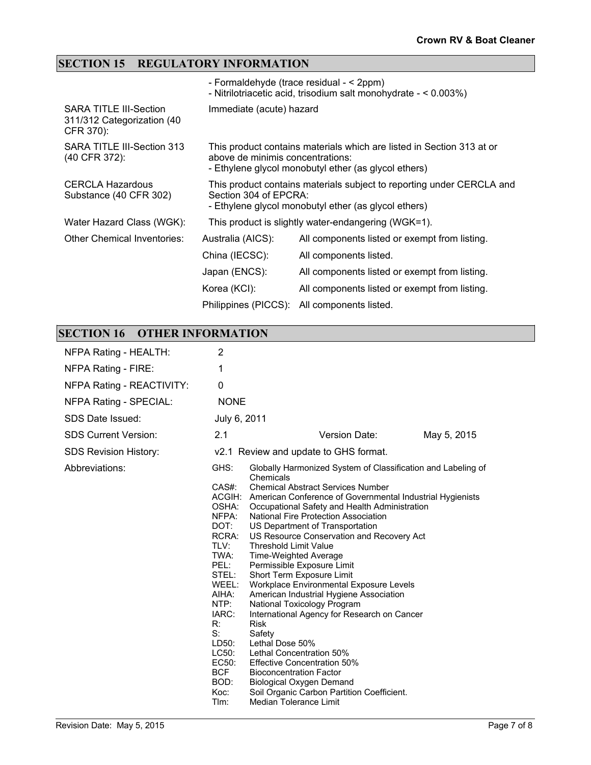### **SECTION 15 REGULATORY INFORMATION**

|                                                                          |                                  | - Formaldehyde (trace residual - < 2ppm)<br>- Nitrilotriacetic acid, trisodium salt monohydrate - < 0.003%)                   |
|--------------------------------------------------------------------------|----------------------------------|-------------------------------------------------------------------------------------------------------------------------------|
| <b>SARA TITLE III-Section</b><br>311/312 Categorization (40<br>CFR 370): | Immediate (acute) hazard         |                                                                                                                               |
| SARA TITLE III-Section 313<br>(40 CFR 372):                              | above de minimis concentrations: | This product contains materials which are listed in Section 313 at or<br>- Ethylene glycol monobutyl ether (as glycol ethers) |
| <b>CERCLA Hazardous</b><br>Substance (40 CFR 302)                        | Section 304 of EPCRA:            | This product contains materials subject to reporting under CERCLA and<br>- Ethylene glycol monobutyl ether (as glycol ethers) |
| Water Hazard Class (WGK):                                                |                                  | This product is slightly water-endangering (WGK=1).                                                                           |
| <b>Other Chemical Inventories:</b>                                       | Australia (AICS):                | All components listed or exempt from listing.                                                                                 |
|                                                                          | China (IECSC):                   | All components listed.                                                                                                        |
|                                                                          | Japan (ENCS):                    | All components listed or exempt from listing.                                                                                 |
|                                                                          | Korea (KCI):                     | All components listed or exempt from listing.                                                                                 |
|                                                                          | Philippines (PICCS):             | All components listed.                                                                                                        |

## **SECTION 16 OTHER INFORMATION**

| NFPA Rating - HEALTH:        | 2                                                                                                                                                                                                       |                                                                                                                                                                                                                                                                                                                                                                                                                                                                                                                                                                                                                                                                                                                                                                                                                                                                                                                       |
|------------------------------|---------------------------------------------------------------------------------------------------------------------------------------------------------------------------------------------------------|-----------------------------------------------------------------------------------------------------------------------------------------------------------------------------------------------------------------------------------------------------------------------------------------------------------------------------------------------------------------------------------------------------------------------------------------------------------------------------------------------------------------------------------------------------------------------------------------------------------------------------------------------------------------------------------------------------------------------------------------------------------------------------------------------------------------------------------------------------------------------------------------------------------------------|
| NFPA Rating - FIRE:          | 1                                                                                                                                                                                                       |                                                                                                                                                                                                                                                                                                                                                                                                                                                                                                                                                                                                                                                                                                                                                                                                                                                                                                                       |
| NFPA Rating - REACTIVITY:    | 0                                                                                                                                                                                                       |                                                                                                                                                                                                                                                                                                                                                                                                                                                                                                                                                                                                                                                                                                                                                                                                                                                                                                                       |
| NFPA Rating - SPECIAL:       | <b>NONE</b>                                                                                                                                                                                             |                                                                                                                                                                                                                                                                                                                                                                                                                                                                                                                                                                                                                                                                                                                                                                                                                                                                                                                       |
| SDS Date Issued:             | July 6, 2011                                                                                                                                                                                            |                                                                                                                                                                                                                                                                                                                                                                                                                                                                                                                                                                                                                                                                                                                                                                                                                                                                                                                       |
| <b>SDS Current Version:</b>  | 2.1                                                                                                                                                                                                     | Version Date:<br>May 5, 2015                                                                                                                                                                                                                                                                                                                                                                                                                                                                                                                                                                                                                                                                                                                                                                                                                                                                                          |
| <b>SDS Revision History:</b> |                                                                                                                                                                                                         | v2.1 Review and update to GHS format.                                                                                                                                                                                                                                                                                                                                                                                                                                                                                                                                                                                                                                                                                                                                                                                                                                                                                 |
| Abbreviations:               | GHS:<br>$CAS#$ :<br>OSHA:<br>NFPA:<br>DOT:<br>RCRA:<br>TLV:<br>TWA:<br>PEL:<br>STEL:<br>WEEL:<br>AIHA:<br>NTP:<br>IARC:<br>R:<br>$S$ :<br>LD50:<br>LC50:<br>EC50:<br><b>BCF</b><br>BOD:<br>Koc:<br>Tlm: | Globally Harmonized System of Classification and Labeling of<br>Chemicals<br><b>Chemical Abstract Services Number</b><br>ACGIH: American Conference of Governmental Industrial Hygienists<br>Occupational Safety and Health Administration<br>National Fire Protection Association<br>US Department of Transportation<br>US Resource Conservation and Recovery Act<br><b>Threshold Limit Value</b><br>Time-Weighted Average<br>Permissible Exposure Limit<br>Short Term Exposure Limit<br>Workplace Environmental Exposure Levels<br>American Industrial Hygiene Association<br>National Toxicology Program<br>International Agency for Research on Cancer<br><b>Risk</b><br>Safety<br>Lethal Dose 50%<br>Lethal Concentration 50%<br><b>Effective Concentration 50%</b><br><b>Bioconcentration Factor</b><br><b>Biological Oxygen Demand</b><br>Soil Organic Carbon Partition Coefficient.<br>Median Tolerance Limit |